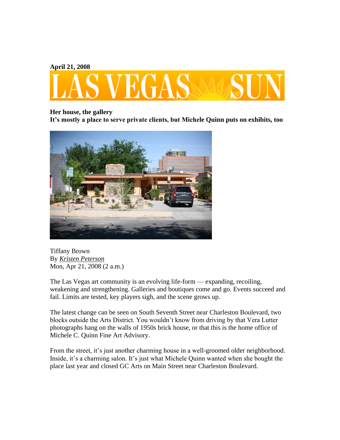**April 21, 2008**



## **Her house, the gallery**

**It's mostly a place to serve private clients, but Michele Quinn puts on exhibits, too**



Tiffany Brown By *Kristen [Peterson](http://www.lasvegassun.com/staff/kristen-peterson/)* Mon, Apr 21, 2008 (2 a.m.)

The Las Vegas art community is an evolving life-form — expanding, recoiling, weakening and strengthening. Galleries and boutiques come and go. Events succeed and fail. Limits are tested, key players sigh, and the scene grows up.

The latest change can be seen on South Seventh Street near Charleston Boulevard, two blocks outside the Arts District. You wouldn't know from driving by that Vera Lutter photographs hang on the walls of 1950s brick house, or that this is the home office of Michele C. Quinn Fine Art Advisory.

From the street, it's just another charming house in a well-groomed older neighborhood. Inside, it's a charming salon. It's just what Michele Quinn wanted when she bought the place last year and closed GC Arts on Main Street near Charleston Boulevard.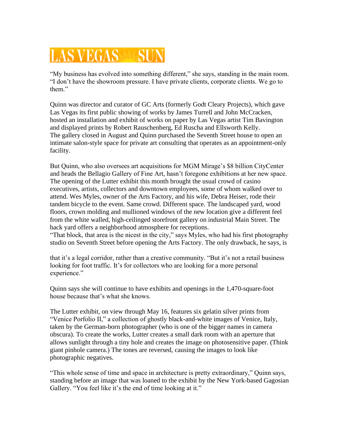## **LAS VEGAS**

"My business has evolved into something different," she says, standing in the main room. "I don't have the showroom pressure. I have private clients, corporate clients. We go to them."

Quinn was director and curator of GC Arts (formerly Godt Cleary Projects), which gave Las Vegas its first public showing of works by James Turrell and John McCracken, hosted an installation and exhibit of works on paper by Las Vegas artist Tim Bavington and displayed prints by Robert Rauschenberg, Ed Ruscha and Ellsworth Kelly. The gallery closed in August and Quinn purchased the Seventh Street house to open an intimate salon-style space for private art consulting that operates as an appointment-only facility.

But Quinn, who also oversees art acquisitions for MGM Mirage's \$8 billion CityCenter and heads the Bellagio Gallery of Fine Art, hasn't foregone exhibitions at her new space. The opening of the Lutter exhibit this month brought the usual crowd of casino executives, artists, collectors and downtown employees, some of whom walked over to attend. Wes Myles, owner of the Arts Factory, and his wife, Debra Heiser, rode their tandem bicycle to the event. Same crowd. Different space. The landscaped yard, wood floors, crown molding and mullioned windows of the new location give a different feel from the white walled, high-ceilinged storefront gallery on industrial Main Street. The back yard offers a neighborhood atmosphere for receptions.

"That block, that area is the nicest in the city," says Myles, who had his first photography studio on Seventh Street before opening the Arts Factory. The only drawback, he says, is

that it's a legal corridor, rather than a creative community. "But it's not a retail business looking for foot traffic. It's for collectors who are looking for a more personal experience."

Quinn says she will continue to have exhibits and openings in the 1,470-square-foot house because that's what she knows.

The Lutter exhibit, on view through May 16, features six gelatin silver prints from "Venice Porfolio II," a collection of ghostly black-and-white images of Venice, Italy, taken by the German-born photographer (who is one of the bigger names in camera obscura). To create the works, Lutter creates a small dark room with an aperture that allows sunlight through a tiny hole and creates the image on photosensitive paper. (Think giant pinhole camera.) The tones are reversed, causing the images to look like photographic negatives.

"This whole sense of time and space in architecture is pretty extraordinary," Quinn says, standing before an image that was loaned to the exhibit by the New York-based Gagosian Gallery. "You feel like it's the end of time looking at it."